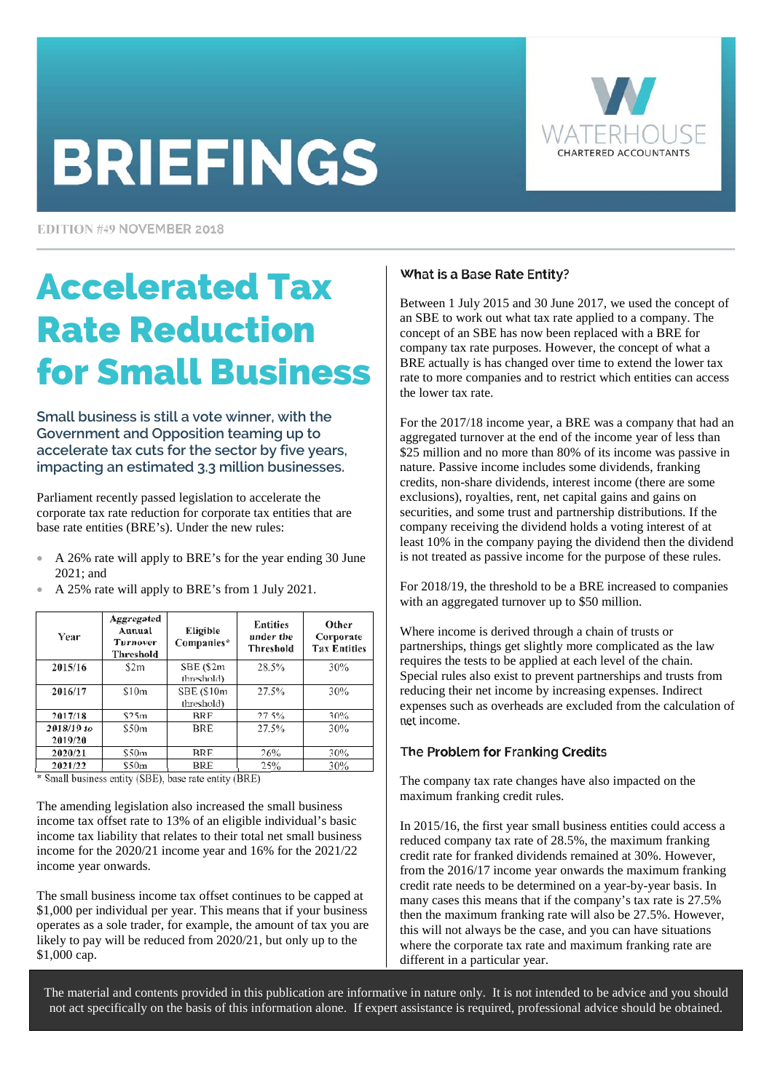# **BRIEFINGS**



EDITION #49 NOVEMBER 2018

## Accelerated Tax Rate Reduction for Small Business

**Small business is still a vote winner, with the Government and Opposition teaming up to accelerate tax cuts for the sector by five years, impacting an estimated 3.3 million businesses.** 

Parliament recently passed legislation to accelerate the corporate tax rate reduction for corporate tax entities that are base rate entities (BRE's). Under the new rules:

- A 26% rate will apply to BRE's for the year ending 30 June 2021; and
- A 25% rate will apply to BRE's from 1 July 2021.

| Year       | Aggregated<br>Annual<br><b>Turnover</b><br>Threshold | Eligible<br>Companies* | <b>Entities</b><br>under the<br>Threshold | Other<br>Corporate<br><b>Tax Entities</b> |
|------------|------------------------------------------------------|------------------------|-------------------------------------------|-------------------------------------------|
| 2015/16    | \$2m                                                 | SBE (\$2m              | 28.5%                                     | 30%                                       |
|            |                                                      | threshold)             |                                           |                                           |
| 2016/17    | \$10m                                                | SBE (\$10m             | 27.5%                                     | 30%                                       |
|            |                                                      | (threshold)            |                                           |                                           |
| 2017/18    | \$25m                                                | <b>BRE</b>             | 27.5%                                     | 30%                                       |
| 2018/19 to | \$50m                                                | BRE                    | 27.5%                                     | 30%                                       |
| 2019/20    |                                                      |                        |                                           |                                           |
| 2020/21    | \$50m                                                | <b>BRE</b>             | 26%                                       | 30%                                       |
| 2021/22    | \$50m                                                | <b>BRE</b>             | 25%                                       | 30%                                       |

\* Small business entity (SBE), base rate entity (BRE)

The amending legislation also increased the small business income tax offset rate to 13% of an eligible individual's basic income tax liability that relates to their total net small business income for the 2020/21 income year and 16% for the 2021/22 income year onwards.

The small business income tax offset continues to be capped at \$1,000 per individual per year. This means that if your business operates as a sole trader, for example, the amount of tax you are likely to pay will be reduced from 2020/21, but only up to the \$1,000 cap.

### What is a Base Rate Entity?

Between 1 July 2015 and 30 June 2017, we used the concept of an SBE to work out what tax rate applied to a company. The concept of an SBE has now been replaced with a BRE for company tax rate purposes. However, the concept of what a BRE actually is has changed over time to extend the lower tax rate to more companies and to restrict which entities can access the lower tax rate.

For the 2017/18 income year, a BRE was a company that had an aggregated turnover at the end of the income year of less than \$25 million and no more than 80% of its income was passive in nature. Passive income includes some dividends, franking credits, non-share dividends, interest income (there are some exclusions), royalties, rent, net capital gains and gains on securities, and some trust and partnership distributions. If the company receiving the dividend holds a voting interest of at least 10% in the company paying the dividend then the dividend is not treated as passive income for the purpose of these rules.

For 2018/19, the threshold to be a BRE increased to companies with an aggregated turnover up to \$50 million.

Where income is derived through a chain of trusts or partnerships, things get slightly more complicated as the law requires the tests to be applied at each level of the chain. Special rules also exist to prevent partnerships and trusts from reducing their net income by increasing expenses. Indirect expenses such as overheads are excluded from the calculation of net income.

#### The Problem for Franking Credits

The company tax rate changes have also impacted on the maximum franking credit rules.

In 2015/16, the first year small business entities could access a reduced company tax rate of 28.5%, the maximum franking credit rate for franked dividends remained at 30%. However, from the 2016/17 income year onwards the maximum franking credit rate needs to be determined on a year-by-year basis. In many cases this means that if the company's tax rate is 27.5% then the maximum franking rate will also be 27.5%. However, this will not always be the case, and you can have situations where the corporate tax rate and maximum franking rate are different in a particular year.

The material and contents provided in this publication are informative in nature only. It is not intended to be advice and you should not act specifically on the basis of this information alone. If expert assistance is required, professional advice should be obtained.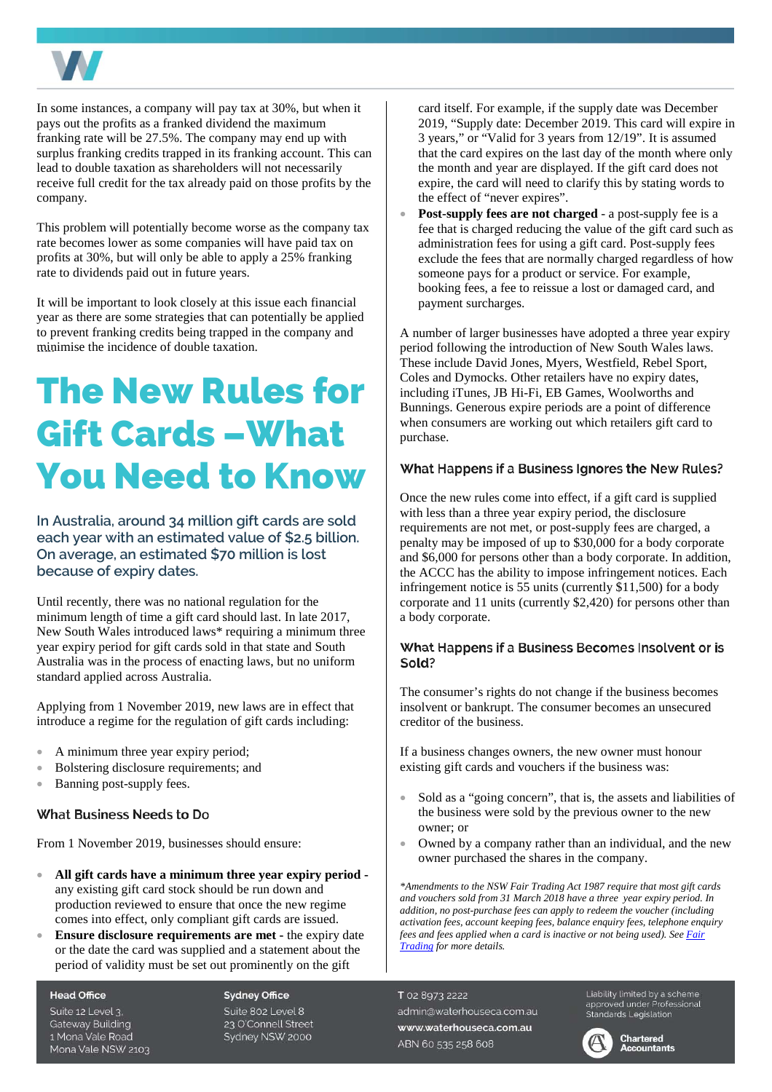

In some instances, a company will pay tax at 30%, but when it pays out the profits as a franked dividend the maximum franking rate will be 27.5%. The company may end up with surplus franking credits trapped in its franking account. This can lead to double taxation as shareholders will not necessarily receive full credit for the tax already paid on those profits by the company.

This problem will potentially become worse as the company tax rate becomes lower as some companies will have paid tax on profits at 30%, but will only be able to apply a 25% franking rate to dividends paid out in future years.

It will be important to look closely at this issue each financial year as there are some strategies that can potentially be applied to prevent franking credits being trapped in the company and minimise the incidence of double taxation.

### The New Rules for Gift Cards –What You Need to Know

**In Australia, around 34 million gift cards are sold each year with an estimated value of \$2.5 billion. On average, an estimated \$70 million is lost because of expiry dates.** 

Until recently, there was no national regulation for the minimum length of time a gift card should last. In late 2017, New South Wales introduced laws\* requiring a minimum three year expiry period for gift cards sold in that state and South Australia was in the process of enacting laws, but no uniform standard applied across Australia.

Applying from 1 November 2019, new laws are in effect that introduce a regime for the regulation of gift cards including:

- A minimum three year expiry period;
- Bolstering disclosure requirements; and
- Banning post-supply fees.

#### What Business Needs to Do

From 1 November 2019, businesses should ensure:

- **All gift cards have a minimum three year expiry period**  any existing gift card stock should be run down and production reviewed to ensure that once the new regime comes into effect, only compliant gift cards are issued.
- **Ensure disclosure requirements are met -** the expiry date or the date the card was supplied and a statement about the period of validity must be set out prominently on the gift

**Head Office** 

Suite 12 Level 3. Gateway Building 1 Mona Vale Road Mona Vale NSW 2103 **Sydney Office** 

Suite 802 Level 8 23 O'Connell Street Sydney NSW 2000

card itself. For example, if the supply date was December 2019, "Supply date: December 2019. This card will expire in 3 years," or "Valid for 3 years from 12/19". It is assumed that the card expires on the last day of the month where only the month and year are displayed. If the gift card does not expire, the card will need to clarify this by stating words to the effect of "never expires".

**Post-supply fees are not charged** - a post-supply fee is a fee that is charged reducing the value of the gift card such as administration fees for using a gift card. Post-supply fees exclude the fees that are normally charged regardless of how someone pays for a product or service. For example, booking fees, a fee to reissue a lost or damaged card, and payment surcharges.

A number of larger businesses have adopted a three year expiry period following the introduction of New South Wales laws. These include David Jones, Myers, Westfield, Rebel Sport, Coles and Dymocks. Other retailers have no expiry dates, including iTunes, JB Hi-Fi, EB Games, Woolworths and Bunnings. Generous expire periods are a point of difference when consumers are working out which retailers gift card to purchase.

#### What Happens if a Business Ignores the New Rules?

Once the new rules come into effect, if a gift card is supplied with less than a three year expiry period, the disclosure requirements are not met, or post-supply fees are charged, a penalty may be imposed of up to \$30,000 for a body corporate and \$6,000 for persons other than a body corporate. In addition, the ACCC has the ability to impose infringement notices. Each infringement notice is 55 units (currently \$11,500) for a body corporate and 11 units (currently \$2,420) for persons other than a body corporate.

#### What Happens if a Business Becomes Insolvent or is Sold?

The consumer's rights do not change if the business becomes insolvent or bankrupt. The consumer becomes an unsecured creditor of the business.

If a business changes owners, the new owner must honour existing gift cards and vouchers if the business was:

- Sold as a "going concern", that is, the assets and liabilities of the business were sold by the previous owner to the new owner; or
- Owned by a company rather than an individual, and the new owner purchased the shares in the company.

*\*Amendments to the NSW Fair Trading Act 1987 require that most gift cards and vouchers sold from 31 March 2018 have a three year expiry period. In addition, no post-purchase fees can apply to redeem the voucher (including activation fees, account keeping fees, balance enquiry fees, telephone enquiry fees and fees applied when a card is inactive or not being used). See [Fair](https://www.fairtrading.nsw.gov.au/buying-products-and-services/ways-to-pay/gift-cards-and-vouchers)  [Trading](https://www.fairtrading.nsw.gov.au/buying-products-and-services/ways-to-pay/gift-cards-and-vouchers) for more details.* 

T 02 8973 2222 admin@waterhouseca.com.au www.waterhouseca.com.au ABN 60 535 258 608

Liability limited by a scheme Explorery writted by a scribing<br>approved under Professional<br>Standards Legislation



Chartered Accountants